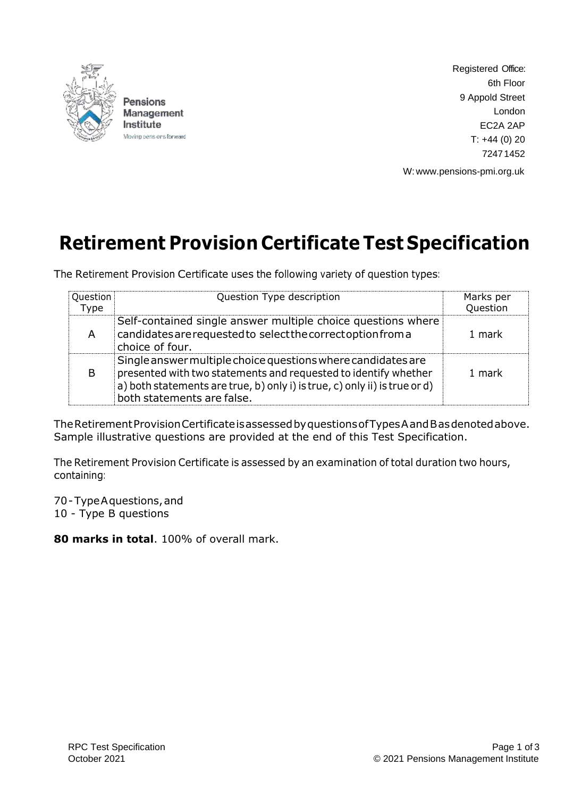

Pensions Management Institute Moving pens ons forward Registered Office: 6th Floor 9 Appold Street London EC2A 2AP  $T: +44(0)20$ 72471452

W: [www.pensions-pmi.org.uk](http://www.pensions-pmi.org.uk/)

# **Retirement Provision Certificate Test Specification**

The Retirement Provision Certificate uses the following variety of question types:

| Question<br>Type | Question Type description                                                                                                                                                                                                                   | Marks per<br>Question |
|------------------|---------------------------------------------------------------------------------------------------------------------------------------------------------------------------------------------------------------------------------------------|-----------------------|
| A                | Self-contained single answer multiple choice questions where<br>candidates are requested to select the correct option from a<br>choice of four.                                                                                             | 1 mark                |
| B                | Single answer multiple choice questions where candidates are<br>presented with two statements and requested to identify whether<br>a) both statements are true, b) only i) is true, c) only ii) is true or d)<br>both statements are false. | 1 mark                |

TheRetirementProvisionCertificateisassessedbyquestionsofTypesAandBasdenotedabove. Sample illustrative questions are provided at the end of this Test Specification.

The Retirement Provision Certificate is assessed by an examination of total duration two hours, containing:

70-TypeAquestions,and 10 - Type B questions

**80 marks in total**. 100% of overall mark.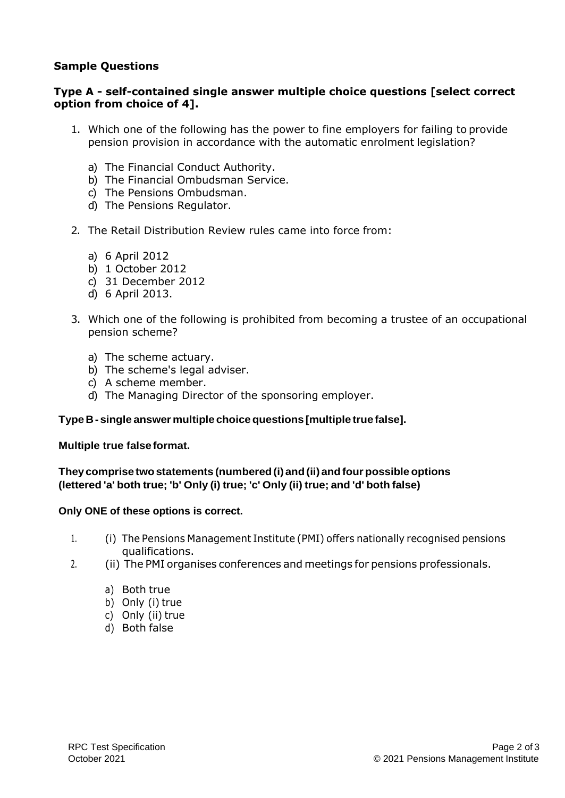## **Sample Questions**

### **Type A - self-contained single answer multiple choice questions [select correct option from choice of 4].**

- 1. Which one of the following has the power to fine employers for failing to provide pension provision in accordance with the automatic enrolment legislation?
	- a) The Financial Conduct Authority.
	- b) The Financial Ombudsman Service.
	- c) The Pensions Ombudsman.
	- d) The Pensions Regulator.
- 2. The Retail Distribution Review rules came into force from:
	- a) 6 April 2012
	- b) 1 October 2012
	- c) 31 December 2012
	- d) 6 April 2013.
- 3. Which one of the following is prohibited from becoming a trustee of an occupational pension scheme?
	- a) The scheme actuary.
	- b) The scheme's legal adviser.
	- c) A scheme member.
	- d) The Managing Director of the sponsoring employer.

#### **TypeB-single answer multiple choicequestions [multiple true false].**

#### **Multiple true false format.**

**Theycomprise twostatements (numbered(i) and(ii) andfour possible options (lettered 'a' both true; 'b' Only (i) true; 'c' Only (ii) true; and 'd' both false)**

#### **Only ONE of these options is correct.**

- 1. (i) The Pensions Management Institute (PMI) offers nationally recognised pensions qualifications.
- 2. (ii) The PMI organises conferences and meetings for pensions professionals.
	- a) Both true
	- b) Only (i) true
	- c) Only (ii) true
	- d) Both false